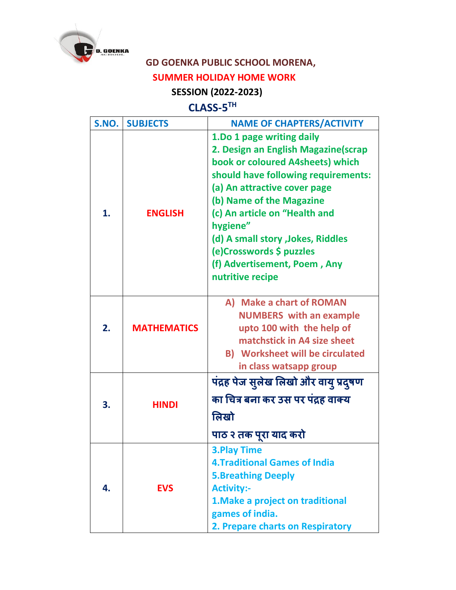

## **GD GOENKA PUBLIC SCHOOL MORENA,**

## **SUMMER HOLIDAY HOME WORK**

## **SESSION (2022-2023)**

## **CLASS-5 TH**

| S.NO. | <b>SUBJECTS</b>    | <b>NAME OF CHAPTERS/ACTIVITY</b>                                                                                                                                                                                                                                                                                                                                           |
|-------|--------------------|----------------------------------------------------------------------------------------------------------------------------------------------------------------------------------------------------------------------------------------------------------------------------------------------------------------------------------------------------------------------------|
| 1.    | <b>ENGLISH</b>     | 1.Do 1 page writing daily<br>2. Design an English Magazine(scrap<br>book or coloured A4sheets) which<br>should have following requirements:<br>(a) An attractive cover page<br>(b) Name of the Magazine<br>(c) An article on "Health and<br>hygiene"<br>(d) A small story , Jokes, Riddles<br>(e)Crosswords \$ puzzles<br>(f) Advertisement, Poem, Any<br>nutritive recipe |
| 2.    | <b>MATHEMATICS</b> | A) Make a chart of ROMAN<br><b>NUMBERS</b> with an example<br>upto 100 with the help of<br>matchstick in A4 size sheet<br><b>B)</b> Worksheet will be circulated<br>in class watsapp group                                                                                                                                                                                 |
| 3.    | <b>HINDI</b>       | पंद्रह पेज सुलेख लिखो और वायु प्रदुषण<br>का चित्र बना कर उस पर पंद्रह वाक्य<br>लिखो<br>पाठ २ तक पूरा याद करो                                                                                                                                                                                                                                                               |
| 4.    | <b>EVS</b>         | <b>3.Play Time</b><br><b>4. Traditional Games of India</b><br><b>5.Breathing Deeply</b><br><b>Activity:-</b><br>1. Make a project on traditional<br>games of india.<br>2. Prepare charts on Respiratory                                                                                                                                                                    |